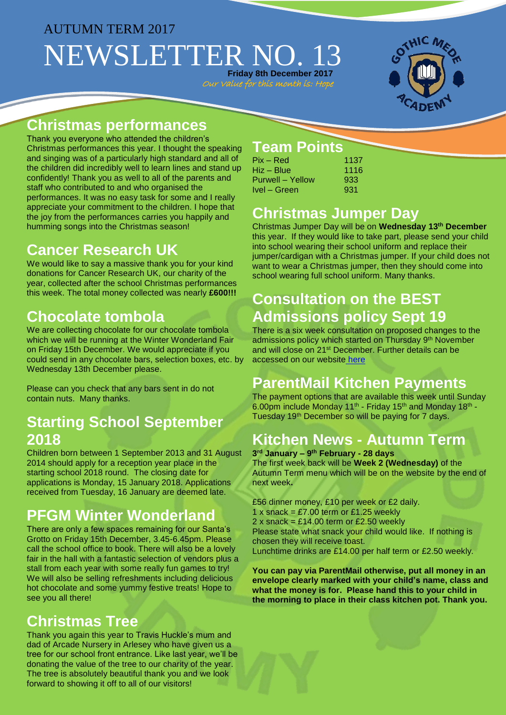# AUTUMN TERM 2017 NEWSLETTER NO. **Friday 8th December 2017**

Our Value for this month is: Hop



### **Christmas performances**

Thank you everyone who attended the children's Christmas performances this year. I thought the speaking and singing was of a particularly high standard and all of the children did incredibly well to learn lines and stand up confidently! Thank you as well to all of the parents and staff who contributed to and who organised the performances. It was no easy task for some and I really appreciate your commitment to the children. I hope that the joy from the performances carries you happily and humming songs into the Christmas season!

### **Cancer Research UK**

We would like to say a massive thank you for your kind donations for Cancer Research UK, our charity of the year, collected after the school Christmas performances this week. The total money collected was nearly **£600!!!**

# **Chocolate tombola**

We are collecting chocolate for our chocolate tombola which we will be running at the Winter Wonderland Fair on Friday 15th December. We would appreciate if you could send in any chocolate bars, selection boxes, etc. by Wednesday 13th December please.

Please can you check that any bars sent in do not contain nuts. Many thanks.

## **Starting School September 2018**

Children born between 1 September 2013 and 31 August 2014 should apply for a reception year place in the starting school 2018 round. The closing date for applications is Monday, 15 January 2018. Applications received from Tuesday, 16 January are deemed late.

# **PFGM Winter Wonderland**

There are only a few spaces remaining for our Santa's Grotto on Friday 15th December, 3.45-6.45pm. Please call the school office to book. There will also be a lovely fair in the hall with a fantastic selection of vendors plus a stall from each year with some really fun games to try! We will also be selling refreshments including delicious hot chocolate and some yummy festive treats! Hope to see you all there!

## **Christmas Tree**

Thank you again this year to Travis Huckle's mum and dad of Arcade Nursery in Arlesey who have given us a tree for our school front entrance. Like last year, we'll be donating the value of the tree to our charity of the year. The tree is absolutely beautiful thank you and we look forward to showing it off to all of our visitors!

#### **Team Points**

| $Pix - Red$      | 1137 |
|------------------|------|
| Hiz – Blue       | 1116 |
| Purwell – Yellow | 933  |
| Ivel – Green     | 931  |

## **Christmas Jumper Day**

Christmas Jumper Day will be on **Wednesday 13th December** this year. If they would like to take part, please send your child into school wearing their school uniform and replace their jumper/cardigan with a Christmas jumper. If your child does not want to wear a Christmas jumper, then they should come into school wearing full school uniform. Many thanks.

# **Consultation on the BEST Admissions policy Sept 19**

There is a six week consultation on proposed changes to the admissions policy which started on Thursday 9<sup>th</sup> November and will close on 21st December. Further details can be accessed on our website [here](http://www.gothicmede.org.uk/)

## **ParentMail Kitchen Payments**

The payment options that are available this week until Sunday 6.00pm include Monday 11<sup>th</sup> - Friday 15<sup>th</sup> and Monday 18<sup>th</sup> -Tuesday 19th December so will be paying for 7 days.

## **Kitchen News - Autumn Term**

**3 rd January – 9 th February - 28 days** The first week back will be **Week 2 (Wednesday)** of the Autumn Term menu which will be on the website by the end of next week**.** 

£56 dinner money, £10 per week or £2 daily. 1 x snack =  $£7.00$  term or £1.25 weekly 2 x snack =  $£14.00$  term or £2.50 weekly Please state what snack your child would like. If nothing is chosen they will receive toast. Lunchtime drinks are £14.00 per half term or £2.50 weekly.

**You can pay via ParentMail otherwise, put all money in an envelope clearly marked with your child's name, class and what the money is for. Please hand this to your child in the morning to place in their class kitchen pot. Thank you.**